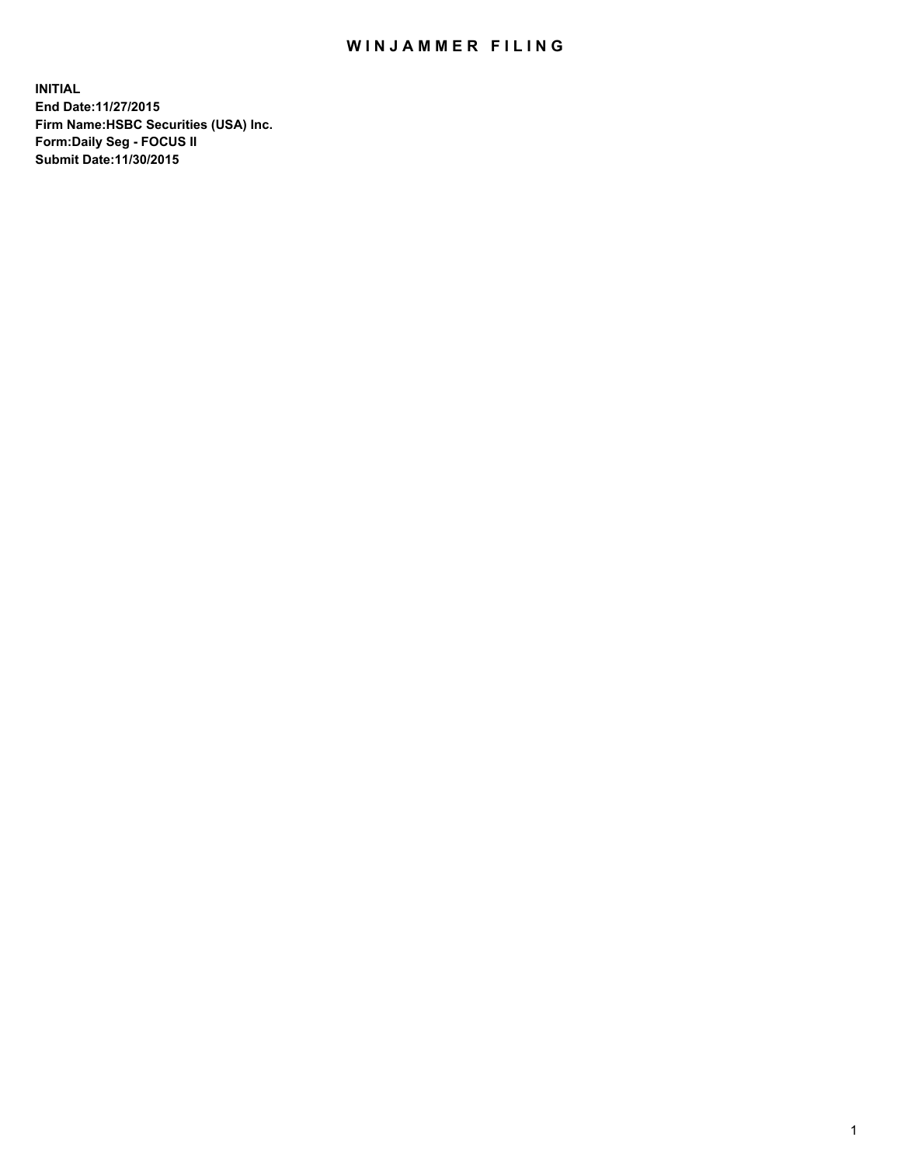## WIN JAMMER FILING

**INITIAL End Date:11/27/2015 Firm Name:HSBC Securities (USA) Inc. Form:Daily Seg - FOCUS II Submit Date:11/30/2015**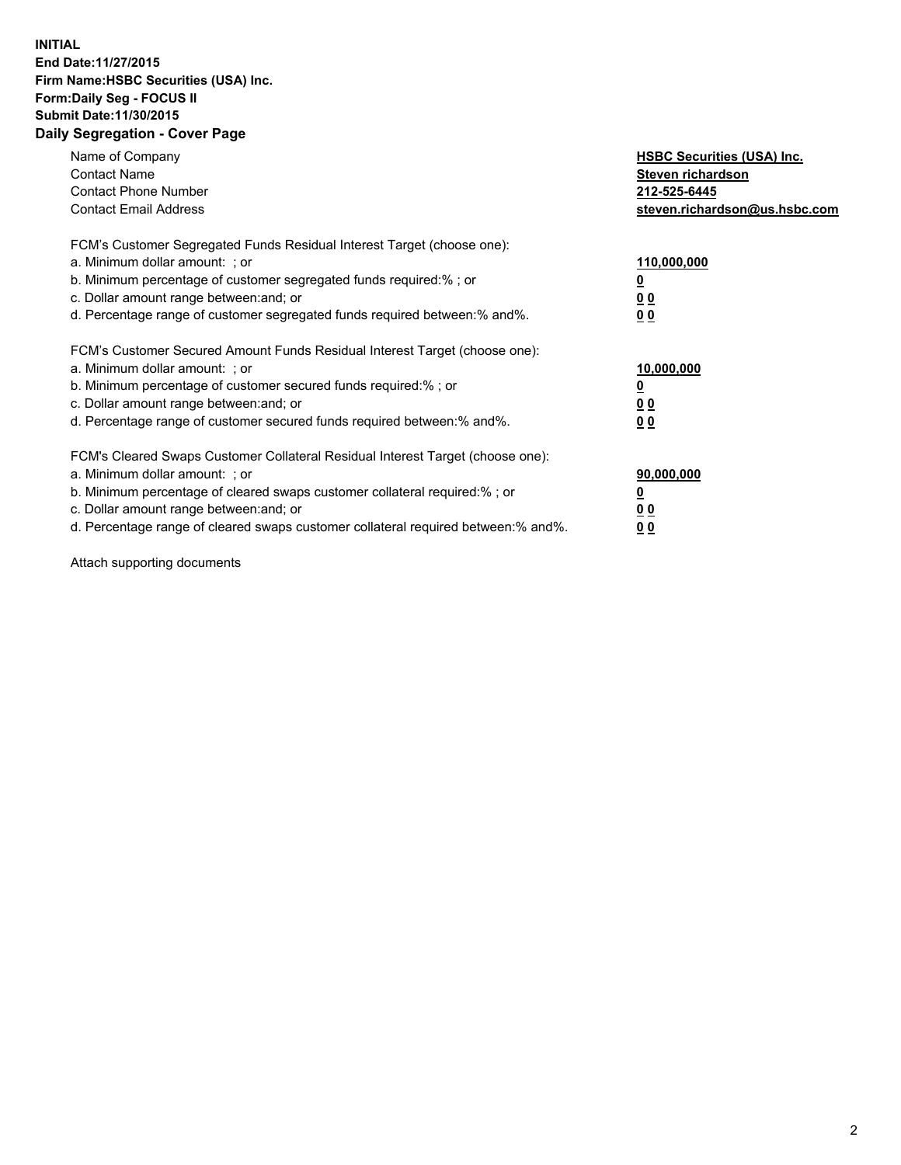## **INITIAL End Date:11/27/2015 Firm Name:HSBC Securities (USA) Inc. Form:Daily Seg - FOCUS II Submit Date:11/30/2015 Daily Segregation - Cover Page**

| Name of Company<br><b>Contact Name</b><br><b>Contact Phone Number</b><br><b>Contact Email Address</b>                                                                                                                                                                                                                          | <b>HSBC Securities (USA) Inc.</b><br>Steven richardson<br>212-525-6445<br>steven.richardson@us.hsbc.com |
|--------------------------------------------------------------------------------------------------------------------------------------------------------------------------------------------------------------------------------------------------------------------------------------------------------------------------------|---------------------------------------------------------------------------------------------------------|
| FCM's Customer Segregated Funds Residual Interest Target (choose one):<br>a. Minimum dollar amount: ; or<br>b. Minimum percentage of customer segregated funds required:%; or<br>c. Dollar amount range between: and; or<br>d. Percentage range of customer segregated funds required between: % and %.                        | 110,000,000<br><u>0</u><br>0 <sub>0</sub><br>0 <sub>0</sub>                                             |
| FCM's Customer Secured Amount Funds Residual Interest Target (choose one):<br>a. Minimum dollar amount: ; or<br>b. Minimum percentage of customer secured funds required:%; or<br>c. Dollar amount range between: and; or<br>d. Percentage range of customer secured funds required between:% and%.                            | 10,000,000<br><u>0</u><br>0 <sub>0</sub><br>0 <sub>0</sub>                                              |
| FCM's Cleared Swaps Customer Collateral Residual Interest Target (choose one):<br>a. Minimum dollar amount: ; or<br>b. Minimum percentage of cleared swaps customer collateral required:% ; or<br>c. Dollar amount range between: and; or<br>d. Percentage range of cleared swaps customer collateral required between:% and%. | 90,000,000<br>0 <sub>0</sub><br>00                                                                      |

Attach supporting documents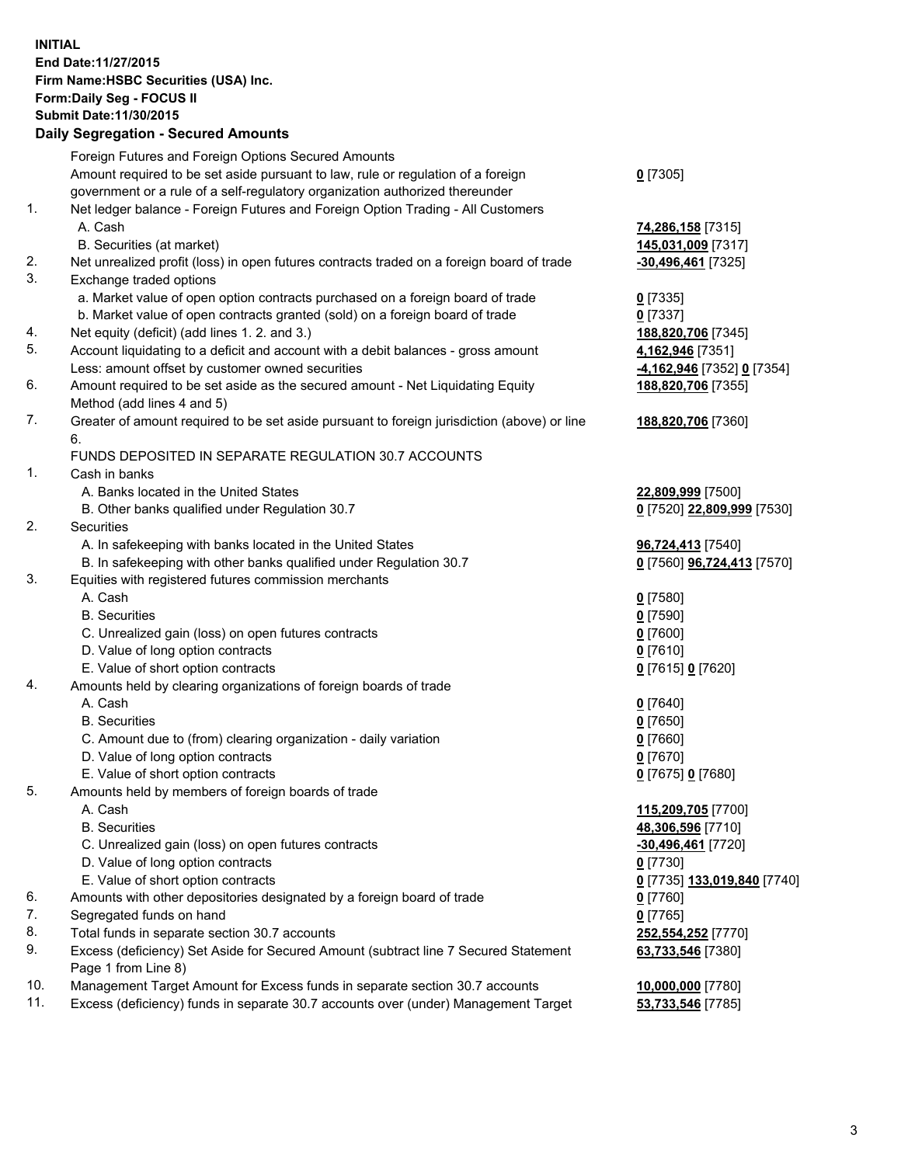**INITIAL End Date:11/27/2015 Firm Name:HSBC Securities (USA) Inc. Form:Daily Seg - FOCUS II Submit Date:11/30/2015 Daily Segregation - Secured Amounts**

|     | Dany Ocgregation - Oceaned Anioanta                                                         |                                   |
|-----|---------------------------------------------------------------------------------------------|-----------------------------------|
|     | Foreign Futures and Foreign Options Secured Amounts                                         |                                   |
|     | Amount required to be set aside pursuant to law, rule or regulation of a foreign            | $0$ [7305]                        |
|     | government or a rule of a self-regulatory organization authorized thereunder                |                                   |
| 1.  | Net ledger balance - Foreign Futures and Foreign Option Trading - All Customers             |                                   |
|     | A. Cash                                                                                     | 74,286,158 [7315]                 |
|     | B. Securities (at market)                                                                   | 145,031,009 [7317]                |
| 2.  | Net unrealized profit (loss) in open futures contracts traded on a foreign board of trade   | <u>-30,496,461</u> [7325]         |
| 3.  | Exchange traded options                                                                     |                                   |
|     | a. Market value of open option contracts purchased on a foreign board of trade              | $0$ [7335]                        |
|     | b. Market value of open contracts granted (sold) on a foreign board of trade                | $0$ [7337]                        |
| 4.  | Net equity (deficit) (add lines 1.2. and 3.)                                                | 188,820,706 [7345]                |
| 5.  | Account liquidating to a deficit and account with a debit balances - gross amount           | 4,162,946 [7351]                  |
|     | Less: amount offset by customer owned securities                                            | <u>-4,162,946</u> [7352] 0 [7354] |
| 6.  | Amount required to be set aside as the secured amount - Net Liquidating Equity              | 188,820,706 [7355]                |
|     | Method (add lines 4 and 5)                                                                  |                                   |
| 7.  | Greater of amount required to be set aside pursuant to foreign jurisdiction (above) or line | 188,820,706 [7360]                |
|     | 6.                                                                                          |                                   |
|     | FUNDS DEPOSITED IN SEPARATE REGULATION 30.7 ACCOUNTS                                        |                                   |
| 1.  | Cash in banks                                                                               |                                   |
|     | A. Banks located in the United States                                                       | 22,809,999 [7500]                 |
|     | B. Other banks qualified under Regulation 30.7                                              | 0 [7520] 22,809,999 [7530]        |
| 2.  | Securities                                                                                  |                                   |
|     | A. In safekeeping with banks located in the United States                                   | 96,724,413 [7540]                 |
|     | B. In safekeeping with other banks qualified under Regulation 30.7                          | 0 [7560] 96,724,413 [7570]        |
| 3.  | Equities with registered futures commission merchants                                       |                                   |
|     | A. Cash                                                                                     | $0$ [7580]                        |
|     | <b>B.</b> Securities                                                                        | $0$ [7590]                        |
|     | C. Unrealized gain (loss) on open futures contracts                                         | $0$ [7600]                        |
|     | D. Value of long option contracts                                                           | $0$ [7610]                        |
|     | E. Value of short option contracts                                                          | 0 [7615] 0 [7620]                 |
| 4.  | Amounts held by clearing organizations of foreign boards of trade                           |                                   |
|     | A. Cash                                                                                     | $0$ [7640]                        |
|     | <b>B.</b> Securities                                                                        | $0$ [7650]                        |
|     | C. Amount due to (from) clearing organization - daily variation                             | $0$ [7660]                        |
|     | D. Value of long option contracts                                                           | $0$ [7670]                        |
|     | E. Value of short option contracts                                                          | 0 [7675] 0 [7680]                 |
| 5.  | Amounts held by members of foreign boards of trade                                          |                                   |
|     | A. Cash                                                                                     | 115,209,705 [7700]                |
|     | <b>B.</b> Securities                                                                        | 48,306,596 [7710]                 |
|     | C. Unrealized gain (loss) on open futures contracts                                         | -30,496,461 [7720]                |
|     | D. Value of long option contracts                                                           | $0$ [7730]                        |
|     | E. Value of short option contracts                                                          | 0 [7735] 133,019,840 [7740]       |
| 6.  | Amounts with other depositories designated by a foreign board of trade                      | $0$ [7760]                        |
| 7.  | Segregated funds on hand                                                                    | $0$ [7765]                        |
| 8.  | Total funds in separate section 30.7 accounts                                               | 252,554,252 [7770]                |
| 9.  | Excess (deficiency) Set Aside for Secured Amount (subtract line 7 Secured Statement         | 63,733,546 [7380]                 |
|     | Page 1 from Line 8)                                                                         |                                   |
| 10. | Management Target Amount for Excess funds in separate section 30.7 accounts                 | 10,000,000 [7780]                 |
| 11. | Excess (deficiency) funds in separate 30.7 accounts over (under) Management Target          | 53,733,546 [7785]                 |
|     |                                                                                             |                                   |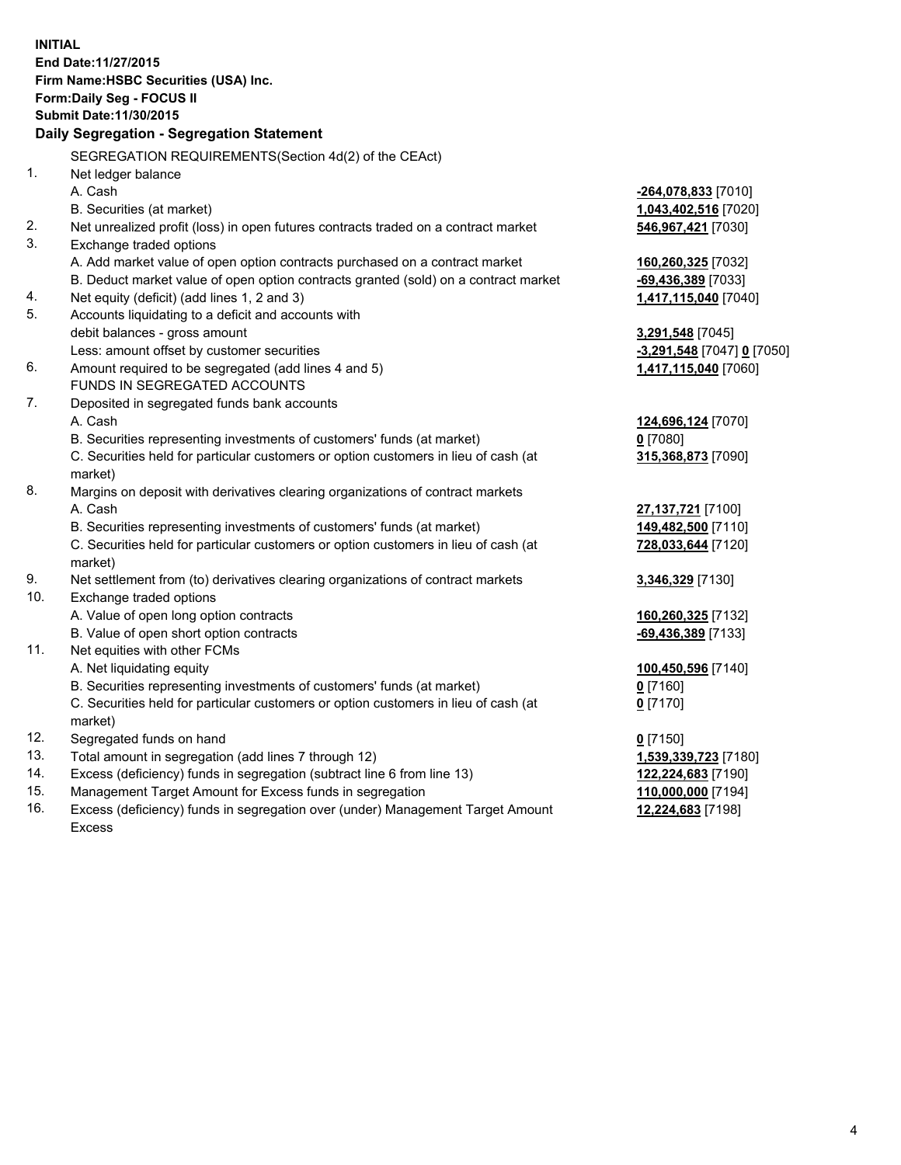|          | <b>INITIAL</b><br>End Date: 11/27/2015<br>Firm Name: HSBC Securities (USA) Inc.<br>Form: Daily Seg - FOCUS II<br>Submit Date: 11/30/2015<br>Daily Segregation - Segregation Statement |                            |
|----------|---------------------------------------------------------------------------------------------------------------------------------------------------------------------------------------|----------------------------|
|          |                                                                                                                                                                                       |                            |
| 1.       | SEGREGATION REQUIREMENTS(Section 4d(2) of the CEAct)                                                                                                                                  |                            |
|          | Net ledger balance                                                                                                                                                                    |                            |
|          | A. Cash                                                                                                                                                                               | -264,078,833 [7010]        |
|          | B. Securities (at market)                                                                                                                                                             | 1,043,402,516 [7020]       |
| 2.<br>3. | Net unrealized profit (loss) in open futures contracts traded on a contract market<br>Exchange traded options                                                                         | 546,967,421 [7030]         |
|          | A. Add market value of open option contracts purchased on a contract market                                                                                                           | 160,260,325 [7032]         |
|          | B. Deduct market value of open option contracts granted (sold) on a contract market                                                                                                   | -69,436,389 [7033]         |
| 4.       | Net equity (deficit) (add lines 1, 2 and 3)                                                                                                                                           | 1,417,115,040 [7040]       |
| 5.       | Accounts liquidating to a deficit and accounts with                                                                                                                                   |                            |
|          | debit balances - gross amount                                                                                                                                                         | 3,291,548 [7045]           |
|          | Less: amount offset by customer securities                                                                                                                                            | -3,291,548 [7047] 0 [7050] |
| 6.       | Amount required to be segregated (add lines 4 and 5)                                                                                                                                  | 1,417,115,040 [7060]       |
|          | FUNDS IN SEGREGATED ACCOUNTS                                                                                                                                                          |                            |
| 7.       | Deposited in segregated funds bank accounts                                                                                                                                           |                            |
|          | A. Cash                                                                                                                                                                               | 124,696,124 [7070]         |
|          | B. Securities representing investments of customers' funds (at market)                                                                                                                | $0$ [7080]                 |
|          | C. Securities held for particular customers or option customers in lieu of cash (at<br>market)                                                                                        | 315,368,873 [7090]         |
| 8.       | Margins on deposit with derivatives clearing organizations of contract markets                                                                                                        |                            |
|          | A. Cash                                                                                                                                                                               | 27,137,721 [7100]          |
|          | B. Securities representing investments of customers' funds (at market)                                                                                                                | 149,482,500 [7110]         |
|          | C. Securities held for particular customers or option customers in lieu of cash (at<br>market)                                                                                        | 728,033,644 [7120]         |
| 9.       | Net settlement from (to) derivatives clearing organizations of contract markets                                                                                                       | 3,346,329 [7130]           |
| 10.      | Exchange traded options                                                                                                                                                               |                            |
|          | A. Value of open long option contracts                                                                                                                                                | 160,260,325 [7132]         |
|          | B. Value of open short option contracts                                                                                                                                               | $-69,436,389$ [7133]       |
| 11.      | Net equities with other FCMs                                                                                                                                                          |                            |
|          | A. Net liquidating equity                                                                                                                                                             | 100,450,596 [7140]         |
|          | B. Securities representing investments of customers' funds (at market)                                                                                                                | $0$ [7160]                 |
|          | C. Securities held for particular customers or option customers in lieu of cash (at                                                                                                   | <u>0</u> [7170]            |
|          | market)                                                                                                                                                                               |                            |
| 12.      | Segregated funds on hand                                                                                                                                                              | $0$ [7150]                 |
| 13.      | Total amount in segregation (add lines 7 through 12)                                                                                                                                  | 1,539,339,723 [7180]       |
| 14.      | Excess (deficiency) funds in segregation (subtract line 6 from line 13)                                                                                                               | 122,224,683 [7190]         |
| 15.      | Management Target Amount for Excess funds in segregation                                                                                                                              | 110,000,000 [7194]         |
| 16.      | Excess (deficiency) funds in segregation over (under) Management Target Amount                                                                                                        | 12,224,683 [7198]          |

16. Excess (deficiency) funds in segregation over (under) Management Target Amount Excess